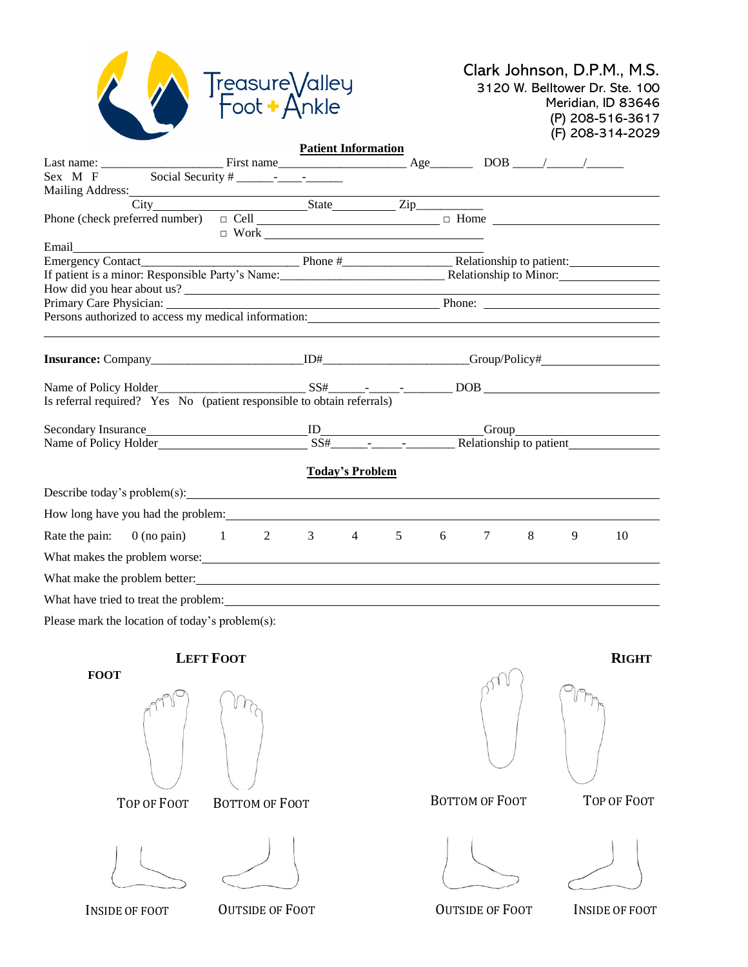| TreasureValley<br>Foot + Ankle                                                                                                                                                                                                                                                                                 |                            |  |  |  |  |  |   | Clark Johnson, D.P.M., M.S.<br>3120 W. Belltower Dr. Ste. 100<br>Meridian, ID 83646<br>(P) 208-516-3617<br>(F) 208-314-2029 |
|----------------------------------------------------------------------------------------------------------------------------------------------------------------------------------------------------------------------------------------------------------------------------------------------------------------|----------------------------|--|--|--|--|--|---|-----------------------------------------------------------------------------------------------------------------------------|
|                                                                                                                                                                                                                                                                                                                | <b>Patient Information</b> |  |  |  |  |  |   |                                                                                                                             |
| $\frac{1}{2}$ First name $\frac{1}{2}$ Age $\frac{1}{2}$ DOB $\frac{1}{2}$                                                                                                                                                                                                                                     |                            |  |  |  |  |  |   |                                                                                                                             |
|                                                                                                                                                                                                                                                                                                                |                            |  |  |  |  |  |   |                                                                                                                             |
| Mailing Address: City State Zip                                                                                                                                                                                                                                                                                |                            |  |  |  |  |  |   |                                                                                                                             |
|                                                                                                                                                                                                                                                                                                                |                            |  |  |  |  |  |   |                                                                                                                             |
|                                                                                                                                                                                                                                                                                                                |                            |  |  |  |  |  |   |                                                                                                                             |
|                                                                                                                                                                                                                                                                                                                |                            |  |  |  |  |  |   |                                                                                                                             |
|                                                                                                                                                                                                                                                                                                                |                            |  |  |  |  |  |   |                                                                                                                             |
|                                                                                                                                                                                                                                                                                                                |                            |  |  |  |  |  |   |                                                                                                                             |
| How did you hear about us?                                                                                                                                                                                                                                                                                     |                            |  |  |  |  |  |   |                                                                                                                             |
| Persons authorized to access my medical information: example and the set of the set of the set of the set of the set of the set of the set of the set of the set of the set of the set of the set of the set of the set of the                                                                                 |                            |  |  |  |  |  |   |                                                                                                                             |
| Name of Policy Holder <u> Contact Contact Contact Contact Contact Contact Contact Contact Contact Contact Contact Contact Contact Contact Contact Contact Contact Contact Contact Contact Contact Contact Contact Contact Contac</u><br>Is referral required? Yes No (patient responsible to obtain referrals) |                            |  |  |  |  |  |   |                                                                                                                             |
|                                                                                                                                                                                                                                                                                                                |                            |  |  |  |  |  |   |                                                                                                                             |
|                                                                                                                                                                                                                                                                                                                |                            |  |  |  |  |  |   |                                                                                                                             |
|                                                                                                                                                                                                                                                                                                                |                            |  |  |  |  |  |   |                                                                                                                             |
|                                                                                                                                                                                                                                                                                                                | <b>Today's Problem</b>     |  |  |  |  |  |   |                                                                                                                             |
| Describe today's problem(s):                                                                                                                                                                                                                                                                                   |                            |  |  |  |  |  |   |                                                                                                                             |
| How long have you had the problem: Manual Allen Contract of the problem:                                                                                                                                                                                                                                       |                            |  |  |  |  |  |   |                                                                                                                             |
| Rate the pain: 0 (no pain) 1 2 3 4 5 6 7 8                                                                                                                                                                                                                                                                     |                            |  |  |  |  |  | 9 | 10                                                                                                                          |
| What makes the problem worse: which is a series of the series of the series of the series of the series of the series of the series of the series of the series of the series of the series of the series of the series of the                                                                                 |                            |  |  |  |  |  |   |                                                                                                                             |
|                                                                                                                                                                                                                                                                                                                |                            |  |  |  |  |  |   |                                                                                                                             |
| What have tried to treat the problem: when the contract of the contract of the contract of the contract of the contract of the contract of the contract of the contract of the contract of the contract of the contract of the                                                                                 |                            |  |  |  |  |  |   |                                                                                                                             |
| Please mark the location of today's problem(s):                                                                                                                                                                                                                                                                |                            |  |  |  |  |  |   |                                                                                                                             |
|                                                                                                                                                                                                                                                                                                                |                            |  |  |  |  |  |   |                                                                                                                             |

**LEFT FOOT RIGHT FOOT** TOP OF FOOT BOTTOM OF FOOT BOTTOM OF FOOT BOTTOM OF FOOT BOTTOM OF FOOT

INSIDE OF FOOT OUTSIDE OF FOOT OUTSIDE OF FOOT INSIDE OF FOOT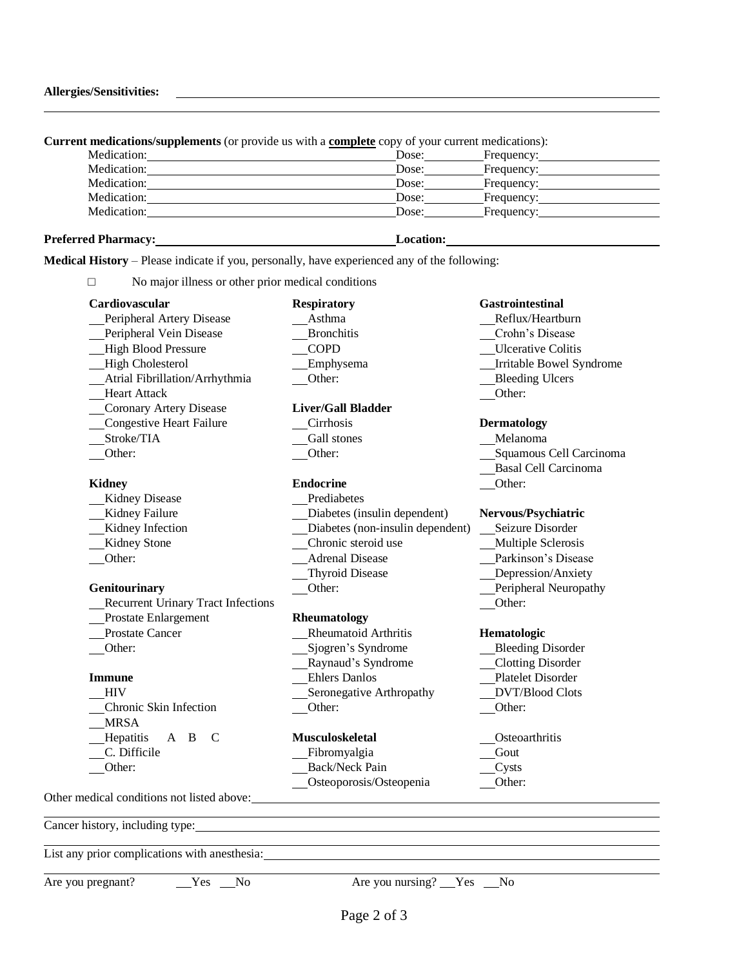#### **Allergies/Sensitivities:**

**Current medications/supplements** (or provide us with a **complete** copy of your current medications):

| Medication: | Dose: | Frequency: |
|-------------|-------|------------|
| Medication: | Dose: | Frequency: |
| Medication: | Dose: | Frequency: |
| Medication: | Dose: | Frequency: |
| Medication: | Dose: | Frequency: |

# **Preferred Pharmacy: Location:**

**Medical History** – Please indicate if you, personally, have experienced any of the following:

**□** No major illness or other prior medical conditions

| Cardiovascular                            | <b>Respiratory</b>               | <b>Gastrointestinal</b>   |
|-------------------------------------------|----------------------------------|---------------------------|
| Peripheral Artery Disease                 | Asthma                           | Reflux/Heartburn          |
| Peripheral Vein Disease                   | <b>Bronchitis</b>                | Crohn's Disease           |
| <b>High Blood Pressure</b>                | <b>COPD</b>                      | <b>Ulcerative Colitis</b> |
| High Cholesterol                          | Emphysema                        | Irritable Bowel Syndrome  |
| Atrial Fibrillation/Arrhythmia            | Other:                           | <b>Bleeding Ulcers</b>    |
| <b>Heart Attack</b>                       |                                  | Other:                    |
| Coronary Artery Disease                   | <b>Liver/Gall Bladder</b>        |                           |
| Congestive Heart Failure                  | Cirrhosis                        | Dermatology               |
| Stroke/TIA                                | Gall stones                      | Melanoma                  |
| Other:                                    | Other:                           | Squamous Cell Carcinoma   |
|                                           |                                  | Basal Cell Carcinoma      |
| <b>Kidney</b>                             | <b>Endocrine</b>                 | Other:                    |
| Kidney Disease                            | Prediabetes                      |                           |
| Kidney Failure                            | Diabetes (insulin dependent)     | Nervous/Psychiatric       |
| Kidney Infection                          | Diabetes (non-insulin dependent) | Seizure Disorder          |
| Kidney Stone                              | Chronic steroid use              | <b>Multiple Sclerosis</b> |
| Other:                                    | <b>Adrenal Disease</b>           | Parkinson's Disease       |
|                                           | <b>Thyroid Disease</b>           | Depression/Anxiety        |
| Genitourinary                             | Other:                           | Peripheral Neuropathy     |
| <b>Recurrent Urinary Tract Infections</b> |                                  | Other:                    |
| <b>Prostate Enlargement</b>               | Rheumatology                     |                           |
| <b>Prostate Cancer</b>                    | <b>Rheumatoid Arthritis</b>      | Hematologic               |
| Other:                                    | Sjogren's Syndrome               | <b>Bleeding Disorder</b>  |
|                                           | Raynaud's Syndrome               | Clotting Disorder         |
| <b>Immune</b>                             | <b>Ehlers Danlos</b>             | <b>Platelet Disorder</b>  |
| <b>HIV</b>                                | Seronegative Arthropathy         | <b>DVT/Blood Clots</b>    |
| Chronic Skin Infection                    | Other:                           | Other:                    |
| <b>MRSA</b>                               |                                  |                           |
| Hepatitis<br>$\mathcal{C}$<br>A B         | <b>Musculoskeletal</b>           | Osteoarthritis            |
| C. Difficile                              | Fibromyalgia                     | Gout                      |
| Other:                                    | Back/Neck Pain                   | Cysts                     |
|                                           | Osteoporosis/Osteopenia          | Other:                    |
| medical conditions not listed above:      |                                  |                           |

Other

Cancer history, including type:

List any prior complications with anesthesia: List and  $\frac{1}{2}$  and  $\frac{1}{2}$  and  $\frac{1}{2}$  and  $\frac{1}{2}$  and  $\frac{1}{2}$  and  $\frac{1}{2}$  and  $\frac{1}{2}$  and  $\frac{1}{2}$  and  $\frac{1}{2}$  and  $\frac{1}{2}$  and  $\frac{1}{2}$  and  $\frac{1}{2}$  and

Are you pregnant? Yes No Are you nursing? Yes No

<u> 1989 - Johann Stoff, deutscher Stoff, der Stoff, der Stoff, der Stoff, der Stoff, der Stoff, der Stoff, der </u>